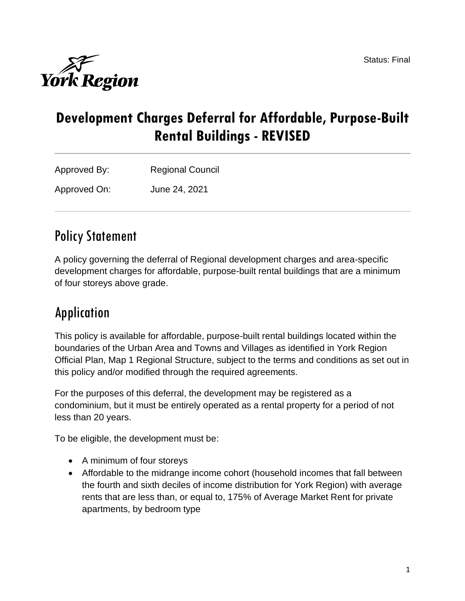

# **Development Charges Deferral for Affordable, Purpose-Built Rental Buildings - REVISED**

| Approved By: | <b>Regional Council</b> |
|--------------|-------------------------|
| Approved On: | June 24, 2021           |

# Policy Statement

A policy governing the deferral of Regional development charges and area-specific development charges for affordable, purpose-built rental buildings that are a minimum of four storeys above grade.

# Application

This policy is available for affordable, purpose-built rental buildings located within the boundaries of the Urban Area and Towns and Villages as identified in York Region Official Plan, Map 1 Regional Structure, subject to the terms and conditions as set out in this policy and/or modified through the required agreements.

For the purposes of this deferral, the development may be registered as a condominium, but it must be entirely operated as a rental property for a period of not less than 20 years.

To be eligible, the development must be:

- A minimum of four storeys
- Affordable to the midrange income cohort (household incomes that fall between the fourth and sixth deciles of income distribution for York Region) with average rents that are less than, or equal to, 175% of Average Market Rent for private apartments, by bedroom type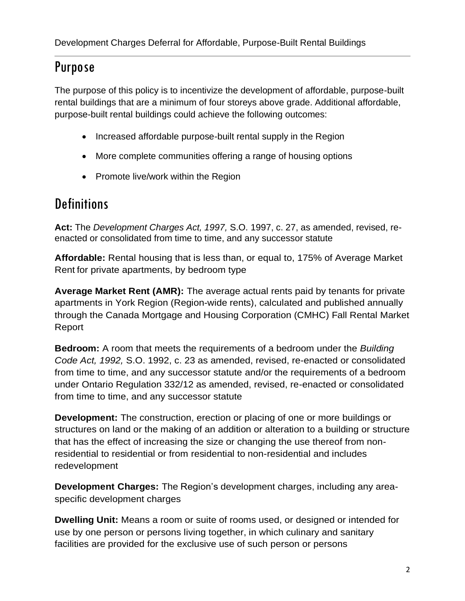# Purpose

The purpose of this policy is to incentivize the development of affordable, purpose-built rental buildings that are a minimum of four storeys above grade. Additional affordable, purpose-built rental buildings could achieve the following outcomes:

- Increased affordable purpose-built rental supply in the Region
- More complete communities offering a range of housing options
- Promote live/work within the Region

## **Definitions**

**Act:** The *Development Charges Act, 1997,* S.O. 1997, c. 27, as amended, revised, reenacted or consolidated from time to time, and any successor statute

**Affordable:** Rental housing that is less than, or equal to, 175% of Average Market Rent for private apartments, by bedroom type

**Average Market Rent (AMR):** The average actual rents paid by tenants for private apartments in York Region (Region-wide rents), calculated and published annually through the Canada Mortgage and Housing Corporation (CMHC) Fall Rental Market Report

**Bedroom:** A room that meets the requirements of a bedroom under the *Building Code Act, 1992,* S.O. 1992, c. 23 as amended, revised, re-enacted or consolidated from time to time, and any successor statute and/or the requirements of a bedroom under Ontario Regulation 332/12 as amended, revised, re-enacted or consolidated from time to time, and any successor statute

**Development:** The construction, erection or placing of one or more buildings or structures on land or the making of an addition or alteration to a building or structure that has the effect of increasing the size or changing the use thereof from nonresidential to residential or from residential to non-residential and includes redevelopment

**Development Charges:** The Region's development charges, including any areaspecific development charges

**Dwelling Unit:** Means a room or suite of rooms used, or designed or intended for use by one person or persons living together, in which culinary and sanitary facilities are provided for the exclusive use of such person or persons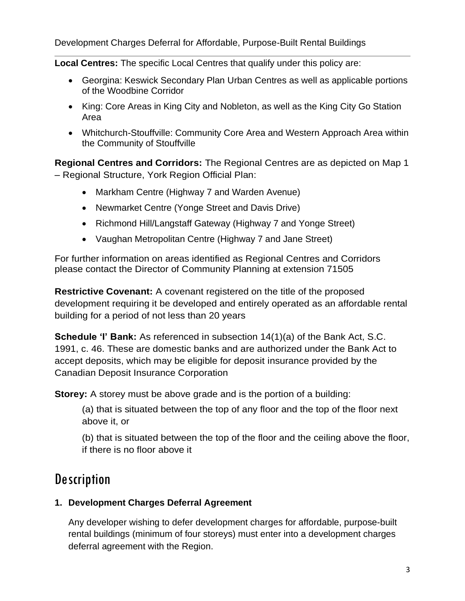**Local Centres:** The specific Local Centres that qualify under this policy are:

- Georgina: Keswick Secondary Plan Urban Centres as well as applicable portions of the Woodbine Corridor
- King: Core Areas in King City and Nobleton, as well as the King City Go Station Area
- Whitchurch-Stouffville: Community Core Area and Western Approach Area within the Community of Stouffville

**Regional Centres and Corridors:** The Regional Centres are as depicted on Map 1 – Regional Structure, York Region Official Plan:

- Markham Centre (Highway 7 and Warden Avenue)
- Newmarket Centre (Yonge Street and Davis Drive)
- Richmond Hill/Langstaff Gateway (Highway 7 and Yonge Street)
- Vaughan Metropolitan Centre (Highway 7 and Jane Street)

For further information on areas identified as Regional Centres and Corridors please contact the Director of Community Planning at extension 71505

**Restrictive Covenant:** A covenant registered on the title of the proposed development requiring it be developed and entirely operated as an affordable rental building for a period of not less than 20 years

**Schedule 'I' Bank:** As referenced in subsection 14(1)(a) of the Bank Act, S.C. 1991, c. 46. These are domestic banks and are authorized under the Bank Act to accept deposits, which may be eligible for deposit insurance provided by the Canadian Deposit Insurance Corporation

**Storey:** A storey must be above grade and is the portion of a building:

(a) that is situated between the top of any floor and the top of the floor next above it, or

(b) that is situated between the top of the floor and the ceiling above the floor, if there is no floor above it

## **Description**

#### **1. Development Charges Deferral Agreement**

Any developer wishing to defer development charges for affordable, purpose-built rental buildings (minimum of four storeys) must enter into a development charges deferral agreement with the Region.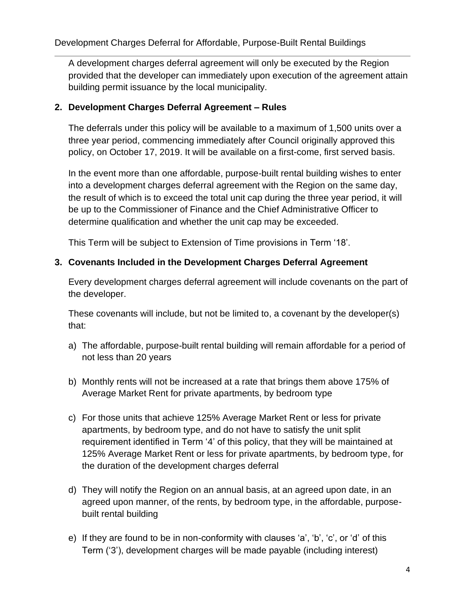A development charges deferral agreement will only be executed by the Region provided that the developer can immediately upon execution of the agreement attain building permit issuance by the local municipality.

#### **2. Development Charges Deferral Agreement – Rules**

The deferrals under this policy will be available to a maximum of 1,500 units over a three year period, commencing immediately after Council originally approved this policy, on October 17, 2019. It will be available on a first-come, first served basis.

In the event more than one affordable, purpose-built rental building wishes to enter into a development charges deferral agreement with the Region on the same day, the result of which is to exceed the total unit cap during the three year period, it will be up to the Commissioner of Finance and the Chief Administrative Officer to determine qualification and whether the unit cap may be exceeded.

This Term will be subject to Extension of Time provisions in Term '18'.

#### **3. Covenants Included in the Development Charges Deferral Agreement**

Every development charges deferral agreement will include covenants on the part of the developer.

These covenants will include, but not be limited to, a covenant by the developer(s) that:

- a) The affordable, purpose-built rental building will remain affordable for a period of not less than 20 years
- b) Monthly rents will not be increased at a rate that brings them above 175% of Average Market Rent for private apartments, by bedroom type
- c) For those units that achieve 125% Average Market Rent or less for private apartments, by bedroom type, and do not have to satisfy the unit split requirement identified in Term '4' of this policy, that they will be maintained at 125% Average Market Rent or less for private apartments, by bedroom type, for the duration of the development charges deferral
- d) They will notify the Region on an annual basis, at an agreed upon date, in an agreed upon manner, of the rents, by bedroom type, in the affordable, purposebuilt rental building
- e) If they are found to be in non-conformity with clauses 'a', 'b', 'c', or 'd' of this Term ('3'), development charges will be made payable (including interest)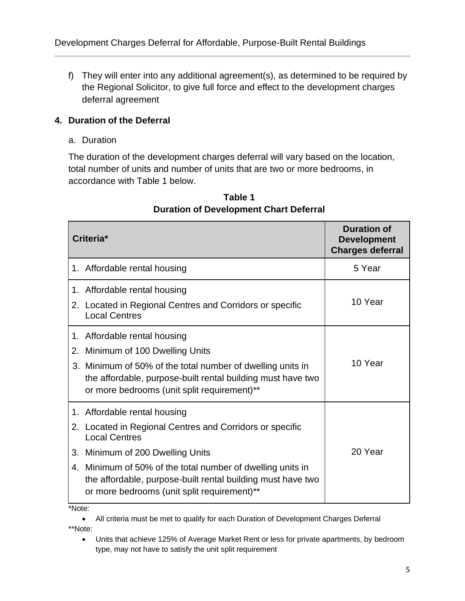f) They will enter into any additional agreement(s), as determined to be required by the Regional Solicitor, to give full force and effect to the development charges deferral agreement

#### **4. Duration of the Deferral**

a. Duration

The duration of the development charges deferral will vary based on the location, total number of units and number of units that are two or more bedrooms, in accordance with Table 1 below.

| Criteria*                                                                                                                                                                                                                                                                                                                              | <b>Duration of</b><br><b>Development</b><br><b>Charges deferral</b> |
|----------------------------------------------------------------------------------------------------------------------------------------------------------------------------------------------------------------------------------------------------------------------------------------------------------------------------------------|---------------------------------------------------------------------|
| 1. Affordable rental housing                                                                                                                                                                                                                                                                                                           | 5 Year                                                              |
| 1. Affordable rental housing<br>2. Located in Regional Centres and Corridors or specific<br><b>Local Centres</b>                                                                                                                                                                                                                       | 10 Year                                                             |
| 1. Affordable rental housing<br>Minimum of 100 Dwelling Units<br>2.<br>Minimum of 50% of the total number of dwelling units in<br>3.<br>the affordable, purpose-built rental building must have two<br>or more bedrooms (unit split requirement)**                                                                                     | 10 Year                                                             |
| 1. Affordable rental housing<br>Located in Regional Centres and Corridors or specific<br>2.<br><b>Local Centres</b><br>Minimum of 200 Dwelling Units<br>3.<br>4. Minimum of 50% of the total number of dwelling units in<br>the affordable, purpose-built rental building must have two<br>or more bedrooms (unit split requirement)** | 20 Year                                                             |

## **Table 1 Duration of Development Chart Deferral**

\*Note:

• All criteria must be met to qualify for each Duration of Development Charges Deferral \*\*Note:

• Units that achieve 125% of Average Market Rent or less for private apartments, by bedroom type, may not have to satisfy the unit split requirement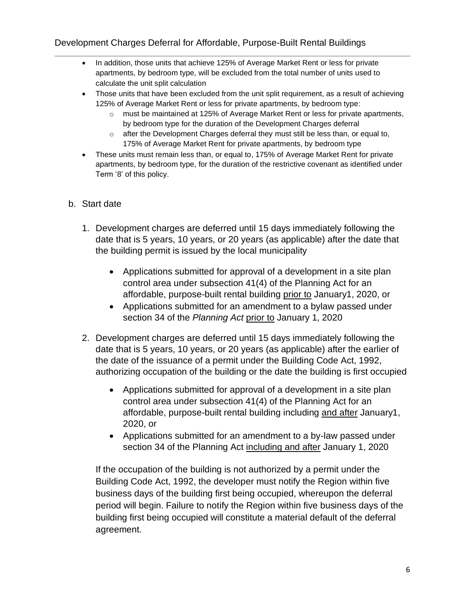- In addition, those units that achieve 125% of Average Market Rent or less for private apartments, by bedroom type, will be excluded from the total number of units used to calculate the unit split calculation
- Those units that have been excluded from the unit split requirement, as a result of achieving 125% of Average Market Rent or less for private apartments, by bedroom type:
	- $\circ$  must be maintained at 125% of Average Market Rent or less for private apartments, by bedroom type for the duration of the Development Charges deferral
	- o after the Development Charges deferral they must still be less than, or equal to, 175% of Average Market Rent for private apartments, by bedroom type
- These units must remain less than, or equal to, 175% of Average Market Rent for private apartments, by bedroom type, for the duration of the restrictive covenant as identified under Term '8' of this policy.
- b. Start date
	- 1. Development charges are deferred until 15 days immediately following the date that is 5 years, 10 years, or 20 years (as applicable) after the date that the building permit is issued by the local municipality
		- Applications submitted for approval of a development in a site plan control area under subsection 41(4) of the Planning Act for an affordable, purpose-built rental building prior to January1, 2020, or
		- Applications submitted for an amendment to a bylaw passed under section 34 of the *Planning Act* prior to January 1, 2020
	- 2. Development charges are deferred until 15 days immediately following the date that is 5 years, 10 years, or 20 years (as applicable) after the earlier of the date of the issuance of a permit under the Building Code Act, 1992, authorizing occupation of the building or the date the building is first occupied
		- Applications submitted for approval of a development in a site plan control area under subsection 41(4) of the Planning Act for an affordable, purpose-built rental building including and after January1, 2020, or
		- Applications submitted for an amendment to a by-law passed under section 34 of the Planning Act including and after January 1, 2020

If the occupation of the building is not authorized by a permit under the Building Code Act, 1992, the developer must notify the Region within five business days of the building first being occupied, whereupon the deferral period will begin. Failure to notify the Region within five business days of the building first being occupied will constitute a material default of the deferral agreement.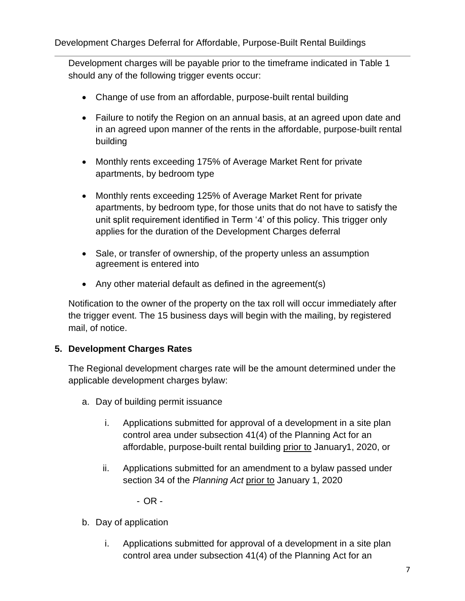Development charges will be payable prior to the timeframe indicated in Table 1 should any of the following trigger events occur:

- Change of use from an affordable, purpose-built rental building
- Failure to notify the Region on an annual basis, at an agreed upon date and in an agreed upon manner of the rents in the affordable, purpose-built rental building
- Monthly rents exceeding 175% of Average Market Rent for private apartments, by bedroom type
- Monthly rents exceeding 125% of Average Market Rent for private apartments, by bedroom type, for those units that do not have to satisfy the unit split requirement identified in Term '4' of this policy. This trigger only applies for the duration of the Development Charges deferral
- Sale, or transfer of ownership, of the property unless an assumption agreement is entered into
- Any other material default as defined in the agreement(s)

Notification to the owner of the property on the tax roll will occur immediately after the trigger event. The 15 business days will begin with the mailing, by registered mail, of notice.

#### **5. Development Charges Rates**

The Regional development charges rate will be the amount determined under the applicable development charges bylaw:

- a. Day of building permit issuance
	- i. Applications submitted for approval of a development in a site plan control area under subsection 41(4) of the Planning Act for an affordable, purpose-built rental building prior to January1, 2020, or
	- ii. Applications submitted for an amendment to a bylaw passed under section 34 of the *Planning Act* prior to January 1, 2020

- OR -

- b. Day of application
	- i. Applications submitted for approval of a development in a site plan control area under subsection 41(4) of the Planning Act for an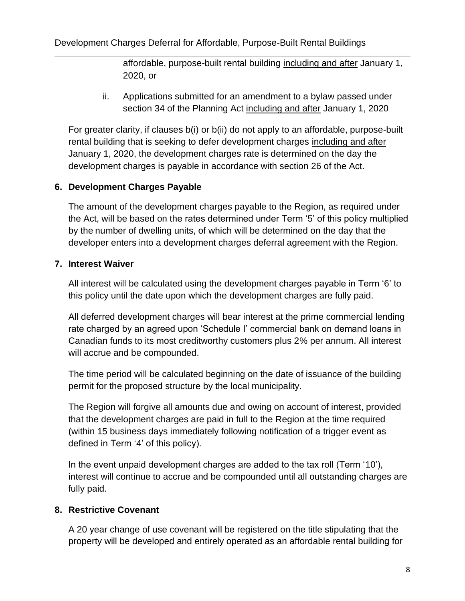affordable, purpose-built rental building including and after January 1, 2020, or

ii. Applications submitted for an amendment to a bylaw passed under section 34 of the Planning Act including and after January 1, 2020

For greater clarity, if clauses b(i) or b(ii) do not apply to an affordable, purpose-built rental building that is seeking to defer development charges including and after January 1, 2020, the development charges rate is determined on the day the development charges is payable in accordance with section 26 of the Act.

#### **6. Development Charges Payable**

The amount of the development charges payable to the Region, as required under the Act, will be based on the rates determined under Term '5' of this policy multiplied by the number of dwelling units, of which will be determined on the day that the developer enters into a development charges deferral agreement with the Region.

#### **7. Interest Waiver**

All interest will be calculated using the development charges payable in Term '6' to this policy until the date upon which the development charges are fully paid.

All deferred development charges will bear interest at the prime commercial lending rate charged by an agreed upon 'Schedule I' commercial bank on demand loans in Canadian funds to its most creditworthy customers plus 2% per annum. All interest will accrue and be compounded.

The time period will be calculated beginning on the date of issuance of the building permit for the proposed structure by the local municipality.

The Region will forgive all amounts due and owing on account of interest, provided that the development charges are paid in full to the Region at the time required (within 15 business days immediately following notification of a trigger event as defined in Term '4' of this policy).

In the event unpaid development charges are added to the tax roll (Term '10'), interest will continue to accrue and be compounded until all outstanding charges are fully paid.

### **8. Restrictive Covenant**

A 20 year change of use covenant will be registered on the title stipulating that the property will be developed and entirely operated as an affordable rental building for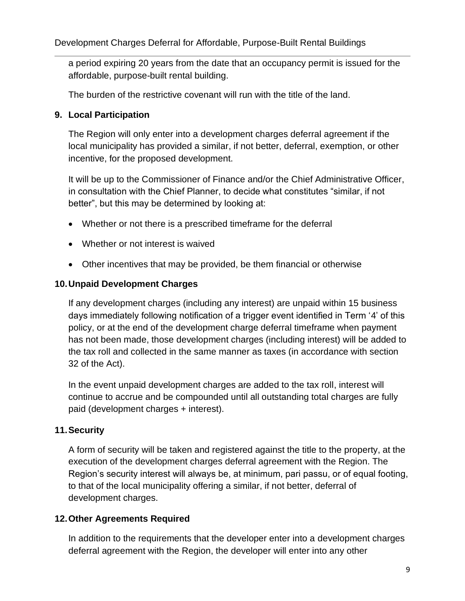a period expiring 20 years from the date that an occupancy permit is issued for the affordable, purpose-built rental building.

The burden of the restrictive covenant will run with the title of the land.

#### **9. Local Participation**

The Region will only enter into a development charges deferral agreement if the local municipality has provided a similar, if not better, deferral, exemption, or other incentive, for the proposed development.

It will be up to the Commissioner of Finance and/or the Chief Administrative Officer, in consultation with the Chief Planner, to decide what constitutes "similar, if not better", but this may be determined by looking at:

- Whether or not there is a prescribed timeframe for the deferral
- Whether or not interest is waived
- Other incentives that may be provided, be them financial or otherwise

#### **10.Unpaid Development Charges**

If any development charges (including any interest) are unpaid within 15 business days immediately following notification of a trigger event identified in Term '4' of this policy, or at the end of the development charge deferral timeframe when payment has not been made, those development charges (including interest) will be added to the tax roll and collected in the same manner as taxes (in accordance with section 32 of the Act).

In the event unpaid development charges are added to the tax roll, interest will continue to accrue and be compounded until all outstanding total charges are fully paid (development charges + interest).

### **11.Security**

A form of security will be taken and registered against the title to the property, at the execution of the development charges deferral agreement with the Region. The Region's security interest will always be, at minimum, pari passu, or of equal footing, to that of the local municipality offering a similar, if not better, deferral of development charges.

### **12.Other Agreements Required**

In addition to the requirements that the developer enter into a development charges deferral agreement with the Region, the developer will enter into any other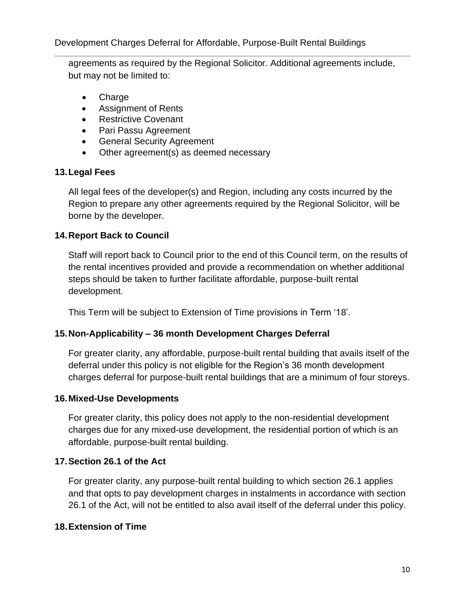agreements as required by the Regional Solicitor. Additional agreements include, but may not be limited to:

- **Charge**
- Assignment of Rents
- Restrictive Covenant
- Pari Passu Agreement
- General Security Agreement
- Other agreement(s) as deemed necessary

#### **13.Legal Fees**

All legal fees of the developer(s) and Region, including any costs incurred by the Region to prepare any other agreements required by the Regional Solicitor, will be borne by the developer.

#### **14.Report Back to Council**

Staff will report back to Council prior to the end of this Council term, on the results of the rental incentives provided and provide a recommendation on whether additional steps should be taken to further facilitate affordable, purpose-built rental development.

This Term will be subject to Extension of Time provisions in Term '18'.

### **15.Non-Applicability – 36 month Development Charges Deferral**

For greater clarity, any affordable, purpose-built rental building that avails itself of the deferral under this policy is not eligible for the Region's 36 month development charges deferral for purpose-built rental buildings that are a minimum of four storeys.

#### **16.Mixed-Use Developments**

For greater clarity, this policy does not apply to the non-residential development charges due for any mixed-use development, the residential portion of which is an affordable, purpose-built rental building.

#### **17.Section 26.1 of the Act**

For greater clarity, any purpose-built rental building to which section 26.1 applies and that opts to pay development charges in instalments in accordance with section 26.1 of the Act, will not be entitled to also avail itself of the deferral under this policy.

#### **18.Extension of Time**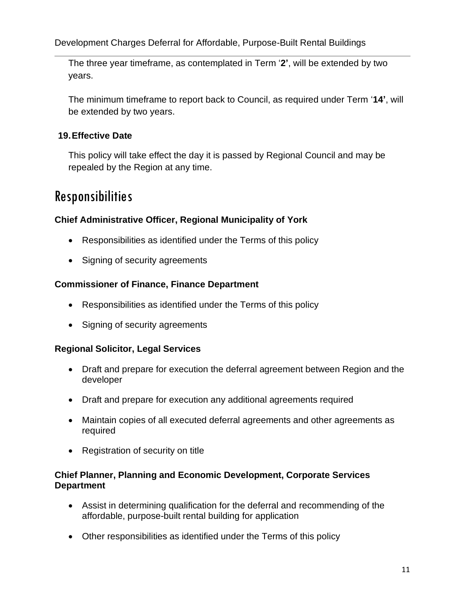The three year timeframe, as contemplated in Term '**2'**, will be extended by two years.

The minimum timeframe to report back to Council, as required under Term '**14'**, will be extended by two years.

### **19.Effective Date**

This policy will take effect the day it is passed by Regional Council and may be repealed by the Region at any time.

## Responsibilities

#### **Chief Administrative Officer, Regional Municipality of York**

- Responsibilities as identified under the Terms of this policy
- Signing of security agreements

#### **Commissioner of Finance, Finance Department**

- Responsibilities as identified under the Terms of this policy
- Signing of security agreements

#### **Regional Solicitor, Legal Services**

- Draft and prepare for execution the deferral agreement between Region and the developer
- Draft and prepare for execution any additional agreements required
- Maintain copies of all executed deferral agreements and other agreements as required
- Registration of security on title

#### **Chief Planner, Planning and Economic Development, Corporate Services Department**

- Assist in determining qualification for the deferral and recommending of the affordable, purpose-built rental building for application
- Other responsibilities as identified under the Terms of this policy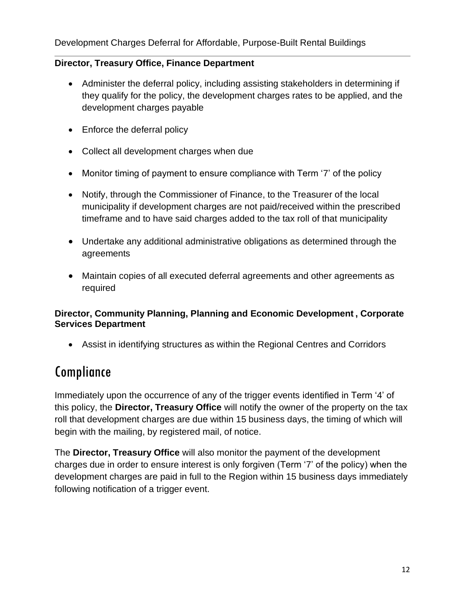#### **Director, Treasury Office, Finance Department**

- Administer the deferral policy, including assisting stakeholders in determining if they qualify for the policy, the development charges rates to be applied, and the development charges payable
- Enforce the deferral policy
- Collect all development charges when due
- Monitor timing of payment to ensure compliance with Term '7' of the policy
- Notify, through the Commissioner of Finance, to the Treasurer of the local municipality if development charges are not paid/received within the prescribed timeframe and to have said charges added to the tax roll of that municipality
- Undertake any additional administrative obligations as determined through the agreements
- Maintain copies of all executed deferral agreements and other agreements as required

#### **Director, Community Planning, Planning and Economic Development , Corporate Services Department**

• Assist in identifying structures as within the Regional Centres and Corridors

# Compliance

Immediately upon the occurrence of any of the trigger events identified in Term '4' of this policy, the **Director, Treasury Office** will notify the owner of the property on the tax roll that development charges are due within 15 business days, the timing of which will begin with the mailing, by registered mail, of notice.

The **Director, Treasury Office** will also monitor the payment of the development charges due in order to ensure interest is only forgiven (Term '7' of the policy) when the development charges are paid in full to the Region within 15 business days immediately following notification of a trigger event.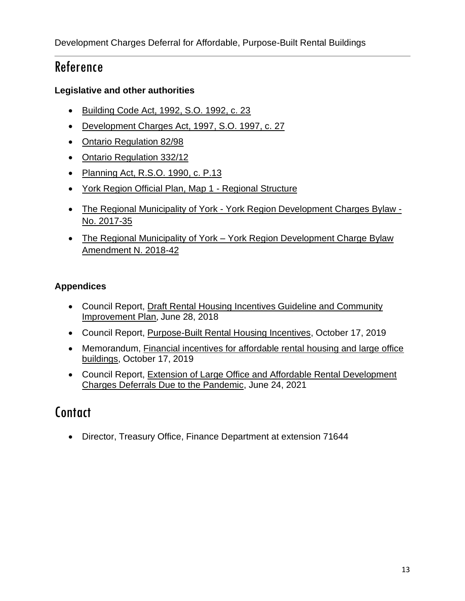## Reference

#### **Legislative and other authorities**

- [Building Code Act, 1992, S.O. 1992, c. 23](https://www.ontario.ca/laws/statute/92b23)
- [Development Charges Act, 1997,](https://www.ontario.ca/laws/statute/97d27) S.O. 1997, c. 27
- [Ontario Regulation 82/98](https://www.ontario.ca/laws/regulation/980082)
- [Ontario Regulation 332/12](https://www.ontario.ca/laws/regulation/120332)
- [Planning Act, R.S.O. 1990, c. P.13](https://www.ontario.ca/laws/statute/90p13)
- [York Region Official Plan, Map 1 -](https://www.york.ca/wps/wcm/connect/yorkpublic/7ad30ec0-78a5-416c-b299-6f2f2c9208ee/yropOfficeConsolidationMap1Accessible.pdf?MOD=AJPERES) Regional Structure
- The Regional Municipality of York [York Region Development Charges Bylaw -](http://www.york.ca/wps/portal/yorkhome/yorkregion/yr/bylaws/developmentchargesbylaw/!ut/p/a1/rVRNT4NAEP0tHnokO3xsWY4raoGm1FiNwKUBypctH4W1ir_eLfVk0mLN7m1m37y8N5M8FCAPBVV4KLKQFXUV7o51MF3bdGZb1hycpUZMoLCkjqITIHOdA3wOgDOPwjCvKNrUkk1wwFoSsB_0R3xHLBnmCnpFAQriijUsR37fruO6YknFJtDX7ZYXHSvY-9DI6zI5tdsk4-omEPW78KObwCY5JLu6KTkszsM2S7rh58jcxMUG-bGBYyONsKSSqSppKYkkI4qxhA1jE2E9xLom_zi5IHVkE4OTkV1c3IaJRwBcg89F6mdVrGS0utL1CKEumFBRRBNi0YSiLdv_PYpjgylTTjhT71Wgim2SW9UhrguiFaqCCanoK1PRlun1V3b-EIVKuzAXGacNWS4VVVoj7xRSyDsXUnyqeNvvA8pj8Jh9nwx5gnOwKV9KovbS9omAipvD13NalmvXlcLoVyPwSUdvvgFUm5Ae/dl5/d5/L2dBISEvZ0FBIS9nQSEh/#.WtDgaS7wZhG) [No. 2017-35](http://www.york.ca/wps/portal/yorkhome/yorkregion/yr/bylaws/developmentchargesbylaw/!ut/p/a1/rVRNT4NAEP0tHnokO3xsWY4raoGm1FiNwKUBypctH4W1ir_eLfVk0mLN7m1m37y8N5M8FCAPBVV4KLKQFXUV7o51MF3bdGZb1hycpUZMoLCkjqITIHOdA3wOgDOPwjCvKNrUkk1wwFoSsB_0R3xHLBnmCnpFAQriijUsR37fruO6YknFJtDX7ZYXHSvY-9DI6zI5tdsk4-omEPW78KObwCY5JLu6KTkszsM2S7rh58jcxMUG-bGBYyONsKSSqSppKYkkI4qxhA1jE2E9xLom_zi5IHVkE4OTkV1c3IaJRwBcg89F6mdVrGS0utL1CKEumFBRRBNi0YSiLdv_PYpjgylTTjhT71Wgim2SW9UhrguiFaqCCanoK1PRlun1V3b-EIVKuzAXGacNWS4VVVoj7xRSyDsXUnyqeNvvA8pj8Jh9nwx5gnOwKV9KovbS9omAipvD13NalmvXlcLoVyPwSUdvvgFUm5Ae/dl5/d5/L2dBISEvZ0FBIS9nQSEh/#.WtDgaS7wZhG)
- The Regional Municipality of York York Region Development Charge Bylaw [Amendment N. 2018-42](https://www.york.ca/wps/wcm/connect/yorkpublic/d81c8002-f0af-4337-afa6-71b52c5b7643/2018-42.pdf?MOD=AJPERES&CVID=mu8jzXy)

#### **Appendices**

- Council Report, [Draft Rental Housing Incentives Guideline and Community](https://www.york.ca/wps/wcm/connect/yorkpublic/1db1144e-bdc7-4d98-ba9d-a90474a8d04d/jun+21+draft+ex.pdf?MOD=AJPERES)  [Improvement Plan](https://www.york.ca/wps/wcm/connect/yorkpublic/1db1144e-bdc7-4d98-ba9d-a90474a8d04d/jun+21+draft+ex.pdf?MOD=AJPERES), June 28, 2018
- Council Report, [Purpose-Built Rental Housing Incentives,](https://yorkpublishing.escribemeetings.com/filestream.ashx?DocumentId=8207) October 17, 2019
- Memorandum, [Financial incentives for affordable rental housing and large office](https://yorkpublishing.escribemeetings.com/filestream.ashx?DocumentId=8625)  [buildings,](https://yorkpublishing.escribemeetings.com/filestream.ashx?DocumentId=8625) October 17, 2019
- Council Report, **Extension of Large Office and Affordable Rental Development** [Charges Deferrals Due to the Pandemic,](https://yorkpublishing.escribemeetings.com/Meeting.aspx?Id=1eb6004e-6e53-4b38-87de-4f3a79ffbe1b&Agenda=PostMinutes&lang=English&Item=57&Tab=attachments) June 24, 2021

## **Contact**

• Director, Treasury Office, Finance Department at extension 71644